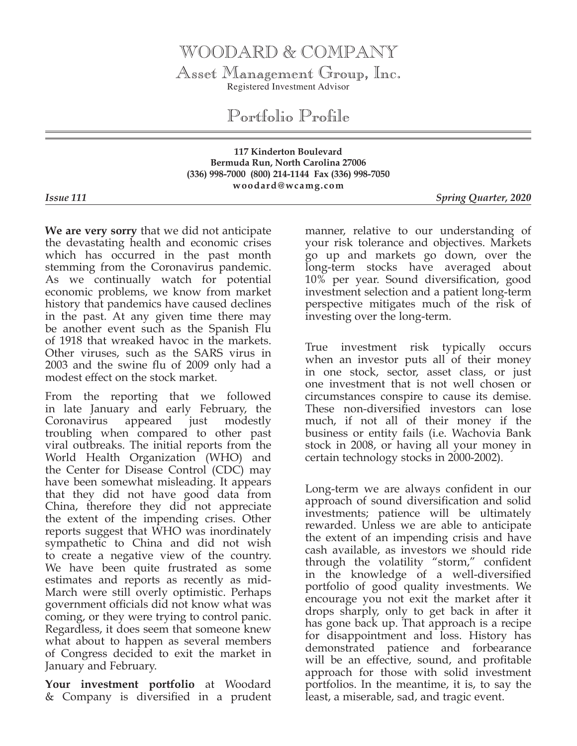## WOODARD & COMPANY

Asset Management Group, Inc. Registered Investment Advisor

Portfolio Profile

## **117 Kinderton Boulevard Bermuda Run, North Carolina 27006 (336) 998-7000 (800) 214-1144 Fax (336) 998-7050 woodard@wcamg.com**

*Issue 111 Spring Quarter, 2020*

**We are very sorry** that we did not anticipate the devastating health and economic crises which has occurred in the past month stemming from the Coronavirus pandemic. As we continually watch for potential economic problems, we know from market history that pandemics have caused declines in the past. At any given time there may be another event such as the Spanish Flu of 1918 that wreaked havoc in the markets. Other viruses, such as the SARS virus in 2003 and the swine flu of 2009 only had a modest effect on the stock market.

From the reporting that we followed in late January and early February, the Coronavirus appeared just modestly troubling when compared to other past viral outbreaks. The initial reports from the World Health Organization (WHO) and the Center for Disease Control (CDC) may have been somewhat misleading. It appears that they did not have good data from China, therefore they did not appreciate the extent of the impending crises. Other reports suggest that WHO was inordinately sympathetic to China and did not wish to create a negative view of the country. We have been quite frustrated as some estimates and reports as recently as mid-March were still overly optimistic. Perhaps government officials did not know what was coming, or they were trying to control panic. Regardless, it does seem that someone knew what about to happen as several members of Congress decided to exit the market in January and February.

**Your investment portfolio** at Woodard & Company is diversified in a prudent manner, relative to our understanding of your risk tolerance and objectives. Markets go up and markets go down, over the long-term stocks have averaged about 10% per year. Sound diversification, good investment selection and a patient long-term perspective mitigates much of the risk of investing over the long-term.

True investment risk typically occurs when an investor puts all of their money in one stock, sector, asset class, or just one investment that is not well chosen or circumstances conspire to cause its demise. These non-diversified investors can lose much, if not all of their money if the business or entity fails (i.e. Wachovia Bank stock in 2008, or having all your money in certain technology stocks in 2000-2002).

Long-term we are always confident in our approach of sound diversification and solid investments; patience will be ultimately rewarded. Unless we are able to anticipate the extent of an impending crisis and have cash available, as investors we should ride through the volatility "storm," confident in the knowledge of a well-diversified portfolio of good quality investments. We encourage you not exit the market after it drops sharply, only to get back in after it has gone back up. That approach is a recipe for disappointment and loss. History has demonstrated patience and forbearance will be an effective, sound, and profitable approach for those with solid investment portfolios. In the meantime, it is, to say the least, a miserable, sad, and tragic event.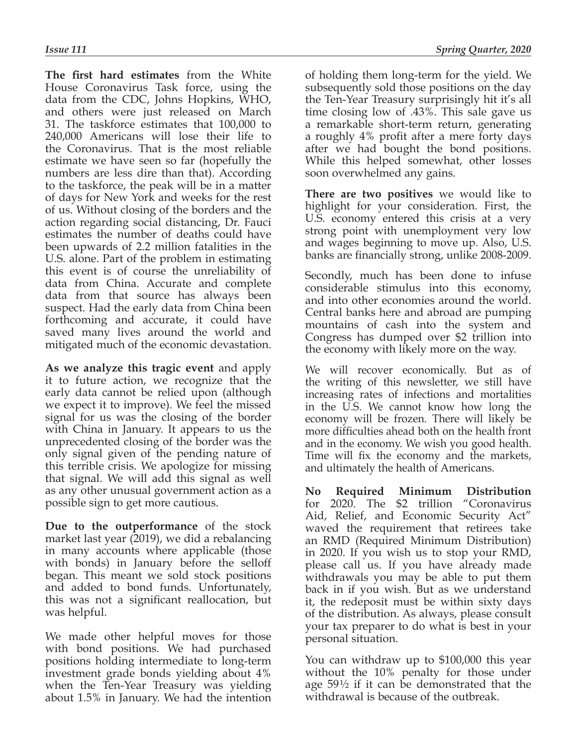**The first hard estimates** from the White House Coronavirus Task force, using the data from the CDC, Johns Hopkins, WHO, and others were just released on March 31. The taskforce estimates that 100,000 to 240,000 Americans will lose their life to the Coronavirus. That is the most reliable estimate we have seen so far (hopefully the numbers are less dire than that). According to the taskforce, the peak will be in a matter of days for New York and weeks for the rest of us. Without closing of the borders and the action regarding social distancing, Dr. Fauci estimates the number of deaths could have been upwards of 2.2 million fatalities in the U.S. alone. Part of the problem in estimating this event is of course the unreliability of data from China. Accurate and complete data from that source has always been suspect. Had the early data from China been forthcoming and accurate, it could have saved many lives around the world and mitigated much of the economic devastation.

**As we analyze this tragic event** and apply it to future action, we recognize that the early data cannot be relied upon (although we expect it to improve). We feel the missed signal for us was the closing of the border with China in January. It appears to us the unprecedented closing of the border was the only signal given of the pending nature of this terrible crisis. We apologize for missing that signal. We will add this signal as well as any other unusual government action as a possible sign to get more cautious.

**Due to the outperformance** of the stock market last year (2019), we did a rebalancing in many accounts where applicable (those with bonds) in January before the selloff began. This meant we sold stock positions and added to bond funds. Unfortunately, this was not a significant reallocation, but was helpful.

We made other helpful moves for those with bond positions. We had purchased positions holding intermediate to long-term investment grade bonds yielding about 4% when the Ten-Year Treasury was yielding about 1.5% in January. We had the intention of holding them long-term for the yield. We subsequently sold those positions on the day the Ten-Year Treasury surprisingly hit it's all time closing low of .43%. This sale gave us a remarkable short-term return, generating a roughly 4% profit after a mere forty days after we had bought the bond positions. While this helped somewhat, other losses soon overwhelmed any gains.

**There are two positives** we would like to highlight for your consideration. First, the U.S. economy entered this crisis at a very strong point with unemployment very low and wages beginning to move up. Also, U.S. banks are financially strong, unlike 2008-2009.

Secondly, much has been done to infuse considerable stimulus into this economy, and into other economies around the world. Central banks here and abroad are pumping mountains of cash into the system and Congress has dumped over \$2 trillion into the economy with likely more on the way.

We will recover economically. But as of the writing of this newsletter, we still have increasing rates of infections and mortalities in the U.S. We cannot know how long the economy will be frozen. There will likely be more difficulties ahead both on the health front and in the economy. We wish you good health. Time will fix the economy and the markets, and ultimately the health of Americans.

**No Required Minimum Distribution** for 2020. The \$2 trillion "Coronavirus Aid, Relief, and Economic Security Act" waved the requirement that retirees take an RMD (Required Minimum Distribution) in 2020. If you wish us to stop your RMD, please call us. If you have already made withdrawals you may be able to put them back in if you wish. But as we understand it, the redeposit must be within sixty days of the distribution. As always, please consult your tax preparer to do what is best in your personal situation.

You can withdraw up to \$100,000 this year without the 10% penalty for those under age 59½ if it can be demonstrated that the withdrawal is because of the outbreak.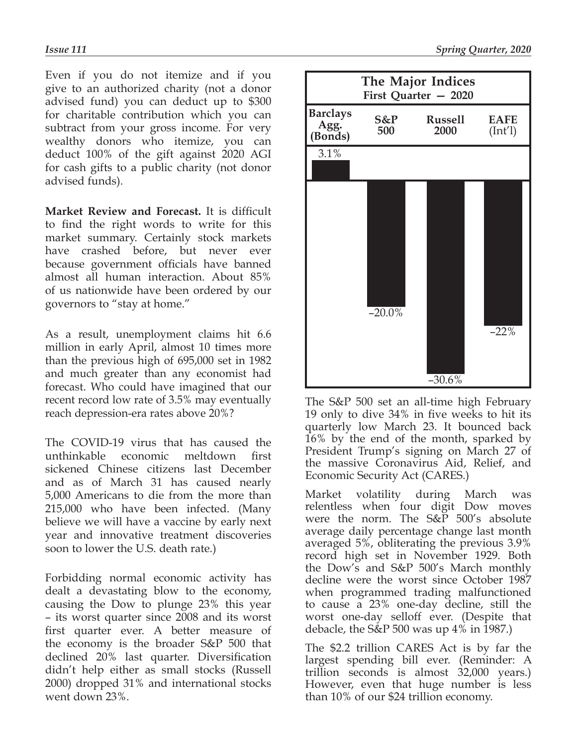Even if you do not itemize and if you give to an authorized charity (not a donor advised fund) you can deduct up to \$300 for charitable contribution which you can subtract from your gross income. For very wealthy donors who itemize, you can deduct 100% of the gift against 2020 AGI for cash gifts to a public charity (not donor advised funds).

**Market Review and Forecast.** It is difficult to find the right words to write for this market summary. Certainly stock markets have crashed before, but never ever because government officials have banned almost all human interaction. About 85% of us nationwide have been ordered by our governors to "stay at home."

As a result, unemployment claims hit 6.6 million in early April, almost 10 times more than the previous high of 695,000 set in 1982 and much greater than any economist had forecast. Who could have imagined that our recent record low rate of 3.5% may eventually reach depression-era rates above 20%?

The COVID-19 virus that has caused the unthinkable economic meltdown first sickened Chinese citizens last December and as of March 31 has caused nearly 5,000 Americans to die from the more than 215,000 who have been infected. (Many believe we will have a vaccine by early next year and innovative treatment discoveries soon to lower the U.S. death rate.)

Forbidding normal economic activity has dealt a devastating blow to the economy, causing the Dow to plunge 23% this year – its worst quarter since 2008 and its worst first quarter ever. A better measure of the economy is the broader S&P 500 that declined 20% last quarter. Diversification didn't help either as small stocks (Russell 2000) dropped 31% and international stocks went down 23%.



The S&P 500 set an all-time high February 19 only to dive 34% in five weeks to hit its quarterly low March 23. It bounced back 16% by the end of the month, sparked by President Trump's signing on March 27 of the massive Coronavirus Aid, Relief, and Economic Security Act (CARES.)

Market volatility during March was relentless when four digit Dow moves were the norm. The  $S\&\overline{P}$  500's absolute average daily percentage change last month averaged 5%, obliterating the previous 3.9% record high set in November 1929. Both the Dow's and S&P 500's March monthly decline were the worst since October 1987 when programmed trading malfunctioned to cause a 23% one-day decline, still the worst one-day selloff ever. (Despite that debacle, the S&P 500 was up 4% in 1987.)

The \$2.2 trillion CARES Act is by far the largest spending bill ever. (Reminder: A trillion seconds is almost 32,000 years.) However, even that huge number is less than 10% of our \$24 trillion economy.